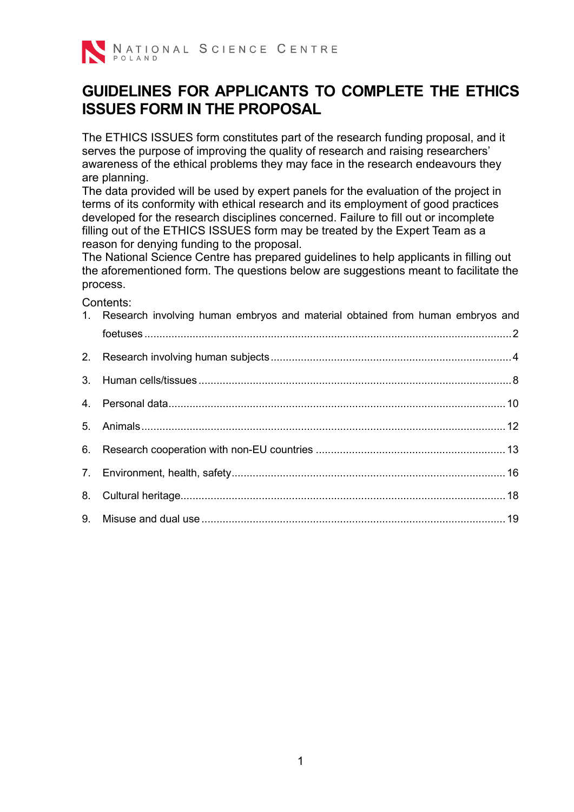

# **GUIDELINES FOR APPLICANTS TO COMPLETE THE ETHICS ISSUES FORM IN THE PROPOSAL**

The ETHICS ISSUES form constitutes part of the research funding proposal, and it serves the purpose of improving the quality of research and raising researchers' awareness of the ethical problems they may face in the research endeavours they are planning.

The data provided will be used by expert panels for the evaluation of the project in terms of its conformity with ethical research and its employment of good practices developed for the research disciplines concerned. Failure to fill out or incomplete filling out of the ETHICS ISSUES form may be treated by the Expert Team as a reason for denying funding to the proposal.

The National Science Centre has prepared guidelines to help applicants in filling out the aforementioned form. The questions below are suggestions meant to facilitate the process.

Contents:

| 1. Research involving human embryos and material obtained from human embryos and |  |
|----------------------------------------------------------------------------------|--|
|                                                                                  |  |
|                                                                                  |  |
|                                                                                  |  |
|                                                                                  |  |
|                                                                                  |  |
|                                                                                  |  |
|                                                                                  |  |
|                                                                                  |  |
|                                                                                  |  |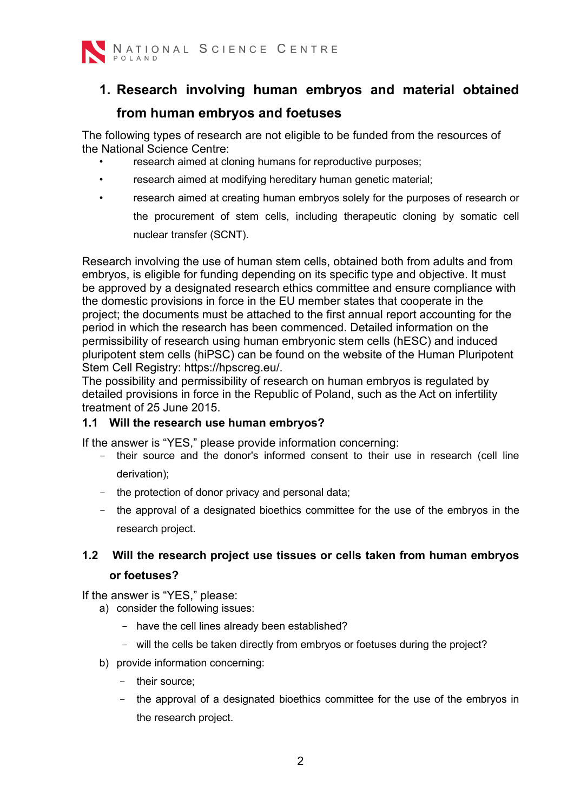

# <span id="page-1-0"></span>**1. Research involving human embryos and material obtained from human embryos and foetuses**

The following types of research are not eligible to be funded from the resources of the National Science Centre:

- research aimed at cloning humans for reproductive purposes;
- research aimed at modifying hereditary human genetic material;
- research aimed at creating human embryos solely for the purposes of research or the procurement of stem cells, including therapeutic cloning by somatic cell nuclear transfer (SCNT).

Research involving the use of human stem cells, obtained both from adults and from embryos, is eligible for funding depending on its specific type and objective. It must be approved by a designated research ethics committee and ensure compliance with the domestic provisions in force in the EU member states that cooperate in the project; the documents must be attached to the first annual report accounting for the period in which the research has been commenced. Detailed information on the permissibility of research using human embryonic stem cells (hESC) and induced pluripotent stem cells (hiPSC) can be found on the website of the Human Pluripotent Stem Cell Registry: https://hpscreg.eu/.

The possibility and permissibility of research on human embryos is regulated by detailed provisions in force in the Republic of Poland, such as the Act on infertility treatment of 25 June 2015.

#### **1.1 Will the research use human embryos?**

If the answer is "YES," please provide information concerning:

- their source and the donor's informed consent to their use in research (cell line derivation);
- the protection of donor privacy and personal data;
- the approval of a designated bioethics committee for the use of the embryos in the research project.

#### **1.2 Will the research project use tissues or cells taken from human embryos or foetuses?**

- a) consider the following issues:
	- have the cell lines already been established?
	- will the cells be taken directly from embryos or foetuses during the project?
- b) provide information concerning:
	- their source;
	- the approval of a designated bioethics committee for the use of the embryos in the research project.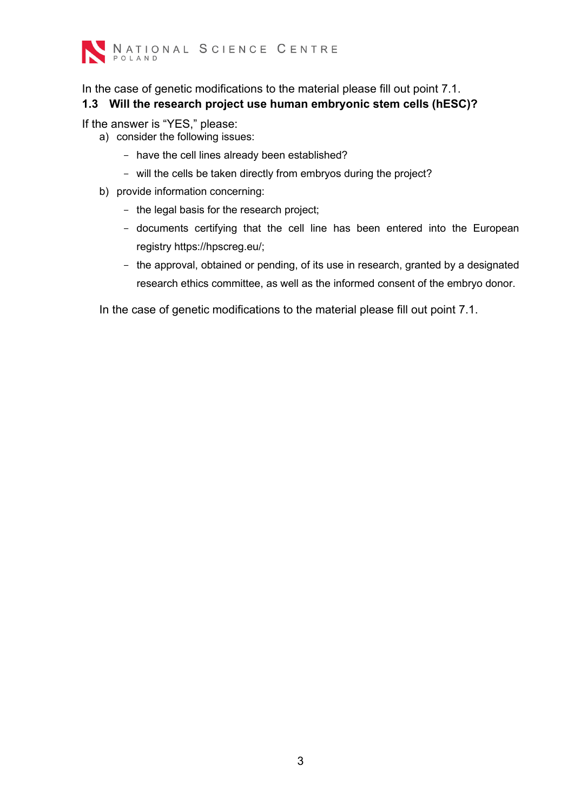

In the case of genetic modifications to the material please fill out point 7.1. **1.3 Will the research project use human embryonic stem cells (hESC)?**

If the answer is "YES," please:

- a) consider the following issues:
	- have the cell lines already been established?
	- will the cells be taken directly from embryos during the project?
- b) provide information concerning:
	- the legal basis for the research project;
	- documents certifying that the cell line has been entered into the European registry https://hpscreg.eu/;
	- the approval, obtained or pending, of its use in research, granted by a designated research ethics committee, as well as the informed consent of the embryo donor.

In the case of genetic modifications to the material please fill out point 7.1.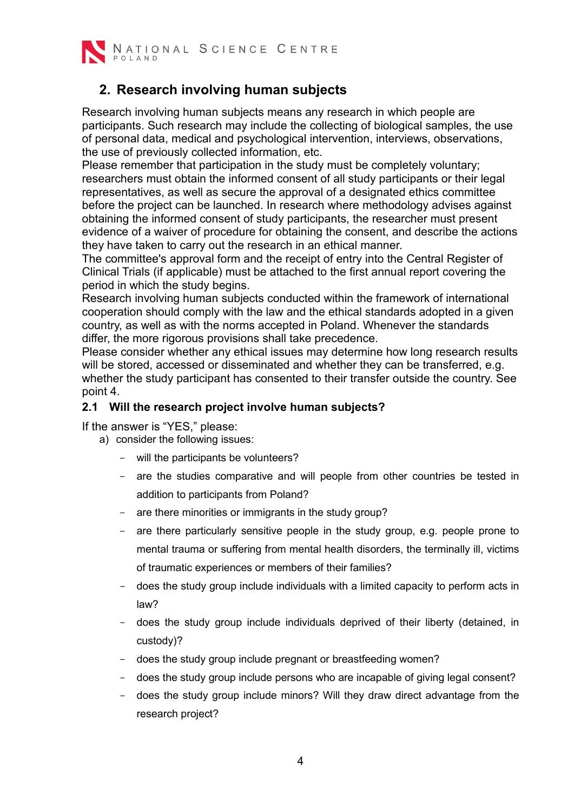

#### <span id="page-3-0"></span>**2. Research involving human subjects**

Research involving human subjects means any research in which people are participants. Such research may include the collecting of biological samples, the use of personal data, medical and psychological intervention, interviews, observations, the use of previously collected information, etc.

Please remember that participation in the study must be completely voluntary; researchers must obtain the informed consent of all study participants or their legal representatives, as well as secure the approval of a designated ethics committee before the project can be launched. In research where methodology advises against obtaining the informed consent of study participants, the researcher must present evidence of a waiver of procedure for obtaining the consent, and describe the actions they have taken to carry out the research in an ethical manner.

The committee's approval form and the receipt of entry into the Central Register of Clinical Trials (if applicable) must be attached to the first annual report covering the period in which the study begins.

Research involving human subjects conducted within the framework of international cooperation should comply with the law and the ethical standards adopted in a given country, as well as with the norms accepted in Poland. Whenever the standards differ, the more rigorous provisions shall take precedence.

Please consider whether any ethical issues may determine how long research results will be stored, accessed or disseminated and whether they can be transferred, e.g. whether the study participant has consented to their transfer outside the country. See point 4.

#### **2.1 Will the research project involve human subjects?**

- a) consider the following issues:
	- will the participants be volunteers?
	- are the studies comparative and will people from other countries be tested in addition to participants from Poland?
	- are there minorities or immigrants in the study group?
	- are there particularly sensitive people in the study group, e.g. people prone to mental trauma or suffering from mental health disorders, the terminally ill, victims of traumatic experiences or members of their families?
	- does the study group include individuals with a limited capacity to perform acts in law?
	- does the study group include individuals deprived of their liberty (detained, in custody)?
	- does the study group include pregnant or breastfeeding women?
	- does the study group include persons who are incapable of giving legal consent?
	- does the study group include minors? Will they draw direct advantage from the research project?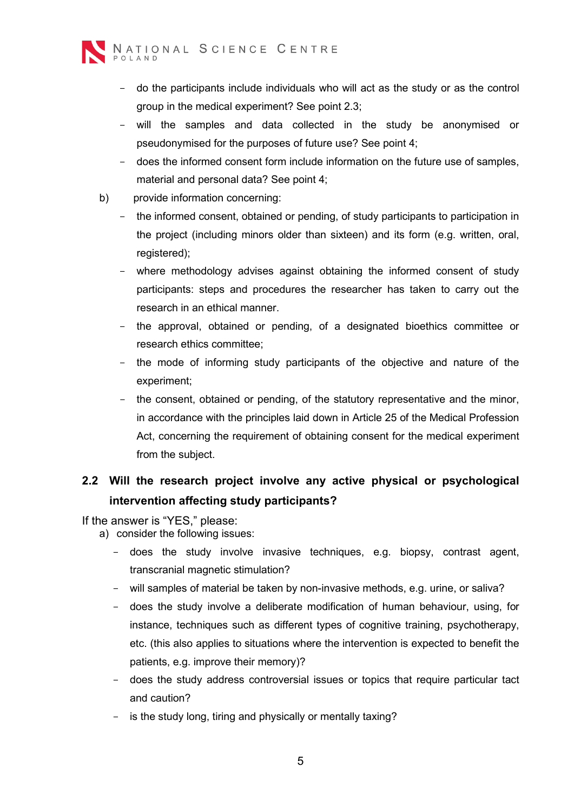

- do the participants include individuals who will act as the study or as the control group in the medical experiment? See point 2.3;
- will the samples and data collected in the study be anonymised or pseudonymised for the purposes of future use? See point 4;
- does the informed consent form include information on the future use of samples, material and personal data? See point 4;
- b) provide information concerning:
	- the informed consent, obtained or pending, of study participants to participation in the project (including minors older than sixteen) and its form (e.g. written, oral, registered);
	- where methodology advises against obtaining the informed consent of study participants: steps and procedures the researcher has taken to carry out the research in an ethical manner.
	- the approval, obtained or pending, of a designated bioethics committee or research ethics committee;
	- the mode of informing study participants of the objective and nature of the experiment;
	- the consent, obtained or pending, of the statutory representative and the minor, in accordance with the principles laid down in Article 25 of the Medical Profession Act, concerning the requirement of obtaining consent for the medical experiment from the subject.

## **2.2 Will the research project involve any active physical or psychological intervention affecting study participants?**

- a) consider the following issues:
	- does the study involve invasive techniques, e.g. biopsy, contrast agent, transcranial magnetic stimulation?
	- will samples of material be taken by non-invasive methods, e.g. urine, or saliva?
	- does the study involve a deliberate modification of human behaviour, using, for instance, techniques such as different types of cognitive training, psychotherapy, etc. (this also applies to situations where the intervention is expected to benefit the patients, e.g. improve their memory)?
	- does the study address controversial issues or topics that require particular tact and caution?
	- is the study long, tiring and physically or mentally taxing?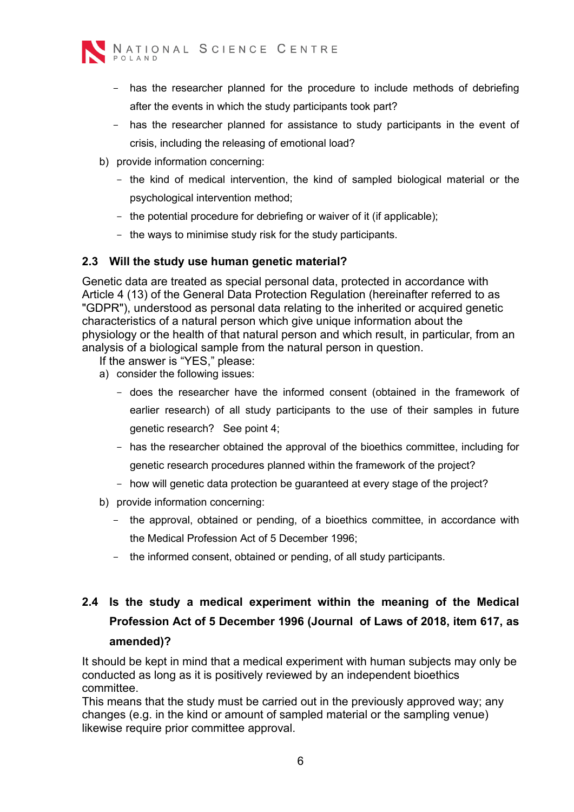

- has the researcher planned for the procedure to include methods of debriefing after the events in which the study participants took part?
- has the researcher planned for assistance to study participants in the event of crisis, including the releasing of emotional load?
- b) provide information concerning:
	- the kind of medical intervention, the kind of sampled biological material or the psychological intervention method;
	- the potential procedure for debriefing or waiver of it (if applicable);
	- the ways to minimise study risk for the study participants.

#### **2.3 Will the study use human genetic material?**

Genetic data are treated as special personal data, protected in accordance with Article 4 (13) of the General Data Protection Regulation (hereinafter referred to as "GDPR"), understood as personal data relating to the inherited or acquired genetic characteristics of a natural person which give unique information about the physiology or the health of that natural person and which result, in particular, from an analysis of a biological sample from the natural person in question.

If the answer is "YES," please:

- a) consider the following issues:
	- does the researcher have the informed consent (obtained in the framework of earlier research) of all study participants to the use of their samples in future genetic research? See point 4;
	- has the researcher obtained the approval of the bioethics committee, including for genetic research procedures planned within the framework of the project?
	- how will genetic data protection be guaranteed at every stage of the project?
- b) provide information concerning:
	- the approval, obtained or pending, of a bioethics committee, in accordance with the Medical Profession Act of 5 December 1996;
	- the informed consent, obtained or pending, of all study participants.

# **2.4 Is the study a medical experiment within the meaning of the Medical Profession Act of 5 December 1996 (Journal of Laws of 2018, item 617, as amended)?**

It should be kept in mind that a medical experiment with human subjects may only be conducted as long as it is positively reviewed by an independent bioethics committee.

This means that the study must be carried out in the previously approved way; any changes (e.g. in the kind or amount of sampled material or the sampling venue) likewise require prior committee approval.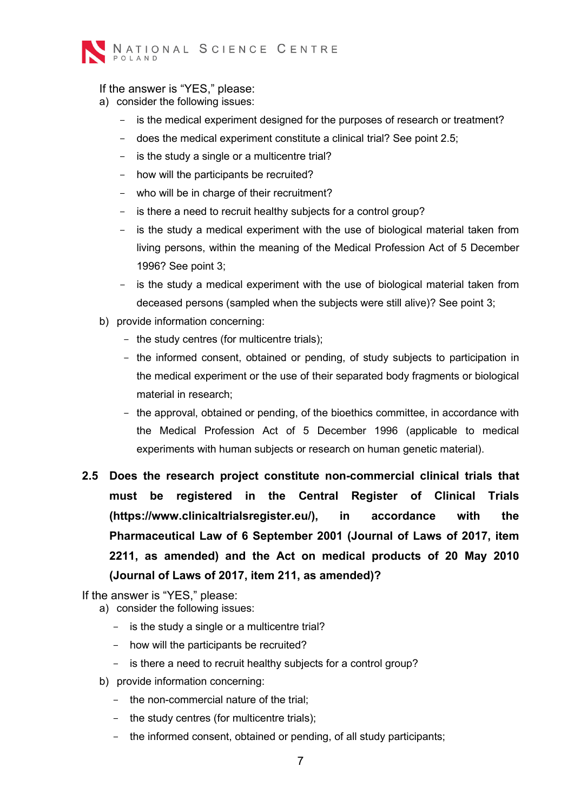

If the answer is "YES," please:

- a) consider the following issues:
	- is the medical experiment designed for the purposes of research or treatment?
	- does the medical experiment constitute a clinical trial? See point 2.5;
	- is the study a single or a multicentre trial?
	- how will the participants be recruited?
	- who will be in charge of their recruitment?
	- is there a need to recruit healthy subjects for a control group?
	- is the study a medical experiment with the use of biological material taken from living persons, within the meaning of the Medical Profession Act of 5 December 1996? See point 3;
	- is the study a medical experiment with the use of biological material taken from deceased persons (sampled when the subjects were still alive)? See point 3;
- b) provide information concerning:
	- the study centres (for multicentre trials);
	- the informed consent, obtained or pending, of study subjects to participation in the medical experiment or the use of their separated body fragments or biological material in research;
	- the approval, obtained or pending, of the bioethics committee, in accordance with the Medical Profession Act of 5 December 1996 (applicable to medical experiments with human subjects or research on human genetic material).
- **2.5 Does the research project constitute non-commercial clinical trials that must be registered in the Central Register of Clinical Trials (https://www.clinicaltrialsregister.eu/), in accordance with the Pharmaceutical Law of 6 September 2001 (Journal of Laws of 2017, item 2211, as amended) and the Act on medical products of 20 May 2010 (Journal of Laws of 2017, item 211, as amended)?**

- a) consider the following issues:
	- is the study a single or a multicentre trial?
	- how will the participants be recruited?
	- is there a need to recruit healthy subiects for a control group?
- b) provide information concerning:
	- the non-commercial nature of the trial;
	- the study centres (for multicentre trials);
	- the informed consent, obtained or pending, of all study participants;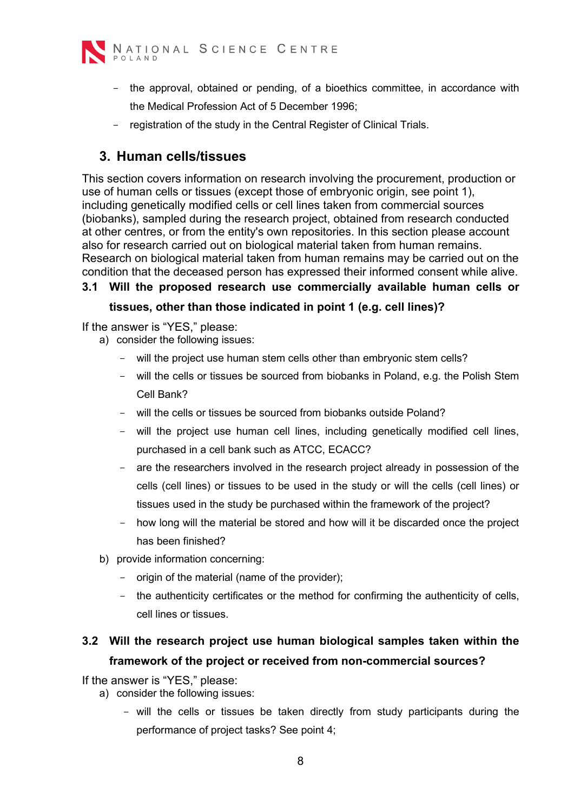

- the approval, obtained or pending, of a bioethics committee, in accordance with the Medical Profession Act of 5 December 1996;
- registration of the study in the Central Register of Clinical Trials.

#### <span id="page-7-0"></span>**3. Human cells/tissues**

This section covers information on research involving the procurement, production or use of human cells or tissues (except those of embryonic origin, see point 1), including genetically modified cells or cell lines taken from commercial sources (biobanks), sampled during the research project, obtained from research conducted at other centres, or from the entity's own repositories. In this section please account also for research carried out on biological material taken from human remains. Research on biological material taken from human remains may be carried out on the condition that the deceased person has expressed their informed consent while alive.

#### **3.1 Will the proposed research use commercially available human cells or tissues, other than those indicated in point 1 (e.g. cell lines)?**

If the answer is "YES," please:

- a) consider the following issues:
	- will the project use human stem cells other than embryonic stem cells?
	- will the cells or tissues be sourced from biobanks in Poland, e.g. the Polish Stem Cell Bank?
	- will the cells or tissues be sourced from biobanks outside Poland?
	- will the project use human cell lines, including genetically modified cell lines, purchased in a cell bank such as ATCC, ECACC?
	- are the researchers involved in the research project already in possession of the cells (cell lines) or tissues to be used in the study or will the cells (cell lines) or tissues used in the study be purchased within the framework of the project?
	- how long will the material be stored and how will it be discarded once the project has been finished?
- b) provide information concerning:
	- origin of the material (name of the provider);
	- the authenticity certificates or the method for confirming the authenticity of cells, cell lines or tissues.

## **3.2 Will the research project use human biological samples taken within the framework of the project or received from non-commercial sources?**

- a) consider the following issues:
	- will the cells or tissues be taken directly from study participants during the performance of project tasks? See point 4;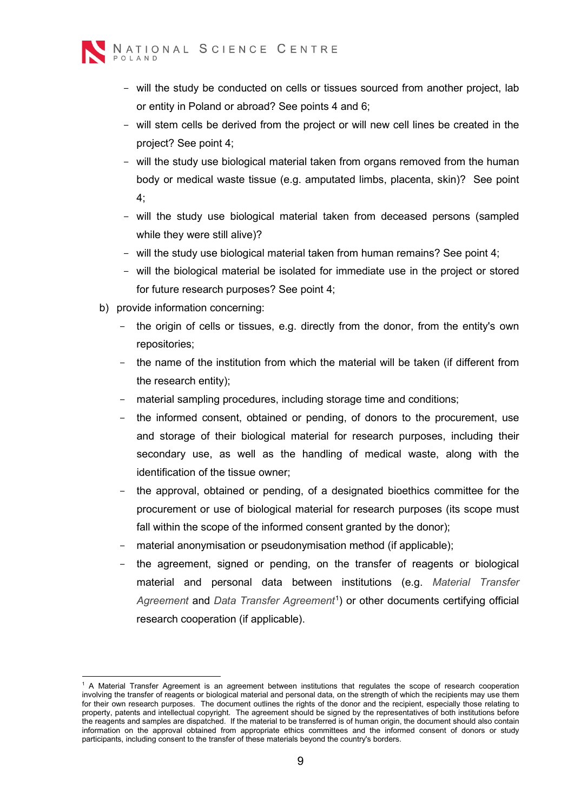

- will the study be conducted on cells or tissues sourced from another project, lab or entity in Poland or abroad? See points 4 and 6;
- will stem cells be derived from the project or will new cell lines be created in the project? See point 4;
- will the study use biological material taken from organs removed from the human body or medical waste tissue (e.g. amputated limbs, placenta, skin)? See point 4;
- will the study use biological material taken from deceased persons (sampled while they were still alive)?
- will the study use biological material taken from human remains? See point 4;
- will the biological material be isolated for immediate use in the project or stored for future research purposes? See point 4;
- b) provide information concerning:
	- the origin of cells or tissues, e.g. directly from the donor, from the entity's own repositories;
	- the name of the institution from which the material will be taken (if different from the research entity);
	- material sampling procedures, including storage time and conditions;
	- the informed consent, obtained or pending, of donors to the procurement, use and storage of their biological material for research purposes, including their secondary use, as well as the handling of medical waste, along with the identification of the tissue owner;
	- the approval, obtained or pending, of a designated bioethics committee for the procurement or use of biological material for research purposes (its scope must fall within the scope of the informed consent granted by the donor):
	- material anonymisation or pseudonymisation method (if applicable);
	- the agreement, signed or pending, on the transfer of reagents or biological material and personal data between institutions (e.g. *Material Transfer Agreement* and *Data Transfer Agreement*[1](#page-8-0) ) or other documents certifying official research cooperation (if applicable).

<span id="page-8-0"></span><sup>1</sup> A Material Transfer Agreement is an agreement between institutions that regulates the scope of research cooperation involving the transfer of reagents or biological material and personal data, on the strength of which the recipients may use them for their own research purposes. The document outlines the rights of the donor and the recipient, especially those relating to property, patents and intellectual copyright. The agreement should be signed by the representatives of both institutions before the reagents and samples are dispatched. If the material to be transferred is of human origin, the document should also contain information on the approval obtained from appropriate ethics committees and the informed consent of donors or study participants, including consent to the transfer of these materials beyond the country's borders.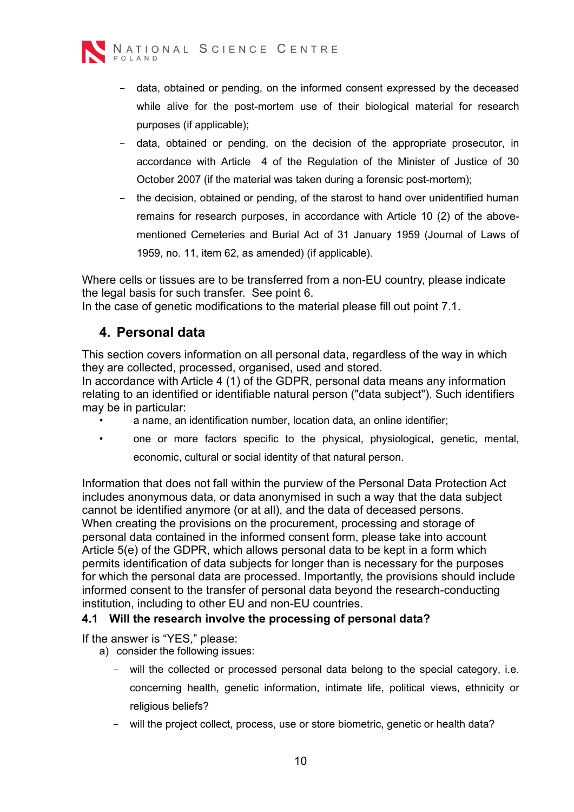

- data, obtained or pending, on the informed consent expressed by the deceased while alive for the post-mortem use of their biological material for research purposes (if applicable);
- data, obtained or pending, on the decision of the appropriate prosecutor, in accordance with Article 4 of the Regulation of the Minister of Justice of 30 October 2007 (if the material was taken during a forensic post-mortem);
- the decision, obtained or pending, of the starost to hand over unidentified human remains for research purposes, in accordance with Article 10 (2) of the abovementioned Cemeteries and Burial Act of 31 January 1959 (Journal of Laws of 1959, no. 11, item 62, as amended) (if applicable).

Where cells or tissues are to be transferred from a non-EU country, please indicate the legal basis for such transfer. See point 6.

<span id="page-9-0"></span>In the case of genetic modifications to the material please fill out point 7.1.

#### **4. Personal data**

This section covers information on all personal data, regardless of the way in which they are collected, processed, organised, used and stored.

In accordance with Article 4 (1) of the GDPR, personal data means any information relating to an identified or identifiable natural person ("data subject"). Such identifiers may be in particular:

- $\cdot$  a name, an identification number, location data, an online identifier;
- one or more factors specific to the physical, physiological, genetic, mental, economic, cultural or social identity of that natural person.

Information that does not fall within the purview of the Personal Data Protection Act includes anonymous data, or data anonymised in such a way that the data subject cannot be identified anymore (or at all), and the data of deceased persons. When creating the provisions on the procurement, processing and storage of personal data contained in the informed consent form, please take into account Article 5(e) of the GDPR, which allows personal data to be kept in a form which permits identification of data subjects for longer than is necessary for the purposes for which the personal data are processed. Importantly, the provisions should include informed consent to the transfer of personal data beyond the research-conducting institution, including to other EU and non-EU countries.

#### **4.1 Will the research involve the processing of personal data?**

- a) consider the following issues:
	- will the collected or processed personal data belong to the special category, i.e. concerning health, genetic information, intimate life, political views, ethnicity or religious beliefs?
	- will the project collect, process, use or store biometric, genetic or health data?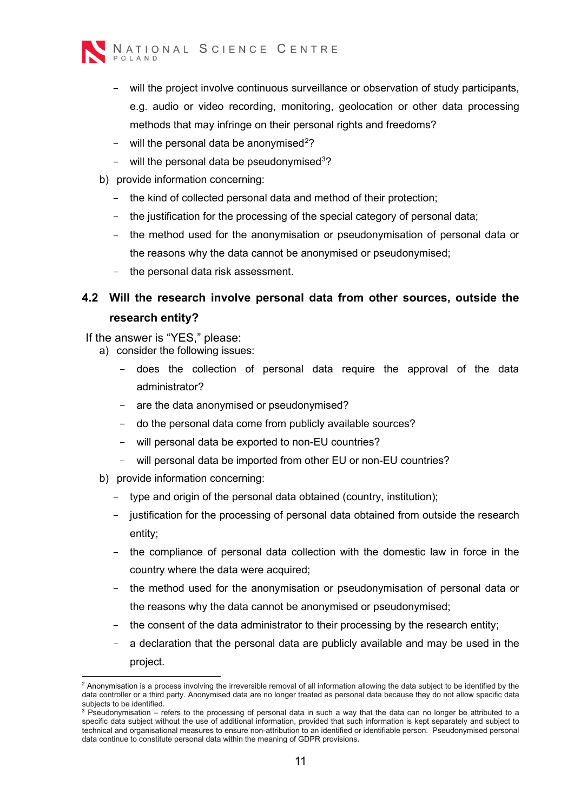

- will the project involve continuous surveillance or observation of study participants, e.g. audio or video recording, monitoring, geolocation or other data processing methods that may infringe on their personal rights and freedoms?
- $-$  will the personal data be anonymised<sup>[2](#page-10-0)</sup>?
- $-$  will the personal data be pseudonymised<sup>[3](#page-10-1)</sup>?
- b) provide information concerning:
	- the kind of collected personal data and method of their protection;
	- the justification for the processing of the special category of personal data;
	- the method used for the anonymisation or pseudonymisation of personal data or the reasons why the data cannot be anonymised or pseudonymised;
	- the personal data risk assessment.

#### **4.2 Will the research involve personal data from other sources, outside the research entity?**

- If the answer is "YES," please:
	- a) consider the following issues:
		- does the collection of personal data require the approval of the data administrator?
		- are the data anonymised or pseudonymised?
		- do the personal data come from publicly available sources?
		- will personal data be exported to non-EU countries?
		- will personal data be imported from other EU or non-EU countries?
		- b) provide information concerning:
			- type and origin of the personal data obtained (country, institution);
			- justification for the processing of personal data obtained from outside the research entity;
			- the compliance of personal data collection with the domestic law in force in the country where the data were acquired;
			- the method used for the anonymisation or pseudonymisation of personal data or the reasons why the data cannot be anonymised or pseudonymised;
			- the consent of the data administrator to their processing by the research entity;
			- a declaration that the personal data are publicly available and may be used in the project.

<span id="page-10-0"></span> $2$  Anonymisation is a process involving the irreversible removal of all information allowing the data subject to be identified by the data controller or a third party. Anonymised data are no longer treated as personal data because they do not allow specific data subjects to be identified.

<span id="page-10-1"></span> $3$  Pseudonymisation – refers to the processing of personal data in such a way that the data can no longer be attributed to a specific data subject without the use of additional information, provided that such information is kept separately and subject to technical and organisational measures to ensure non-attribution to an identified or identifiable person. Pseudonymised personal data continue to constitute personal data within the meaning of GDPR provisions.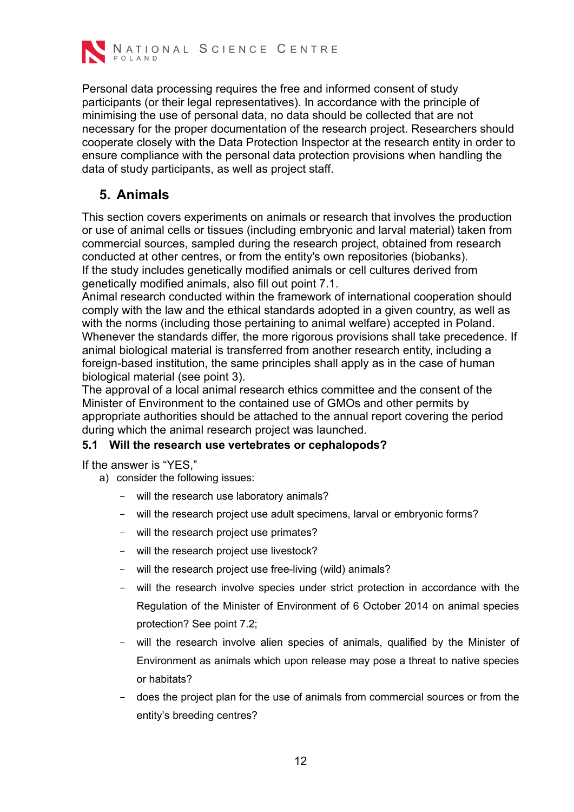

Personal data processing requires the free and informed consent of study participants (or their legal representatives). In accordance with the principle of minimising the use of personal data, no data should be collected that are not necessary for the proper documentation of the research project. Researchers should cooperate closely with the Data Protection Inspector at the research entity in order to ensure compliance with the personal data protection provisions when handling the data of study participants, as well as project staff.

## <span id="page-11-0"></span>**5. Animals**

This section covers experiments on animals or research that involves the production or use of animal cells or tissues (including embryonic and larval material) taken from commercial sources, sampled during the research project, obtained from research conducted at other centres, or from the entity's own repositories (biobanks). If the study includes genetically modified animals or cell cultures derived from genetically modified animals, also fill out point 7.1.

Animal research conducted within the framework of international cooperation should comply with the law and the ethical standards adopted in a given country, as well as with the norms (including those pertaining to animal welfare) accepted in Poland. Whenever the standards differ, the more rigorous provisions shall take precedence. If animal biological material is transferred from another research entity, including a foreign-based institution, the same principles shall apply as in the case of human biological material (see point 3).

The approval of a local animal research ethics committee and the consent of the Minister of Environment to the contained use of GMOs and other permits by appropriate authorities should be attached to the annual report covering the period during which the animal research project was launched.

#### **5.1 Will the research use vertebrates or cephalopods?**

If the answer is "YES,"

- a) consider the following issues:
	- will the research use laboratory animals?
	- will the research project use adult specimens, larval or embryonic forms?
	- will the research project use primates?
	- will the research project use livestock?
	- will the research project use free-living (wild) animals?
	- will the research involve species under strict protection in accordance with the Regulation of the Minister of Environment of 6 October 2014 on animal species protection? See point 7.2;
	- will the research involve alien species of animals, qualified by the Minister of Environment as animals which upon release may pose a threat to native species or habitats?
	- does the project plan for the use of animals from commercial sources or from the entity's breeding centres?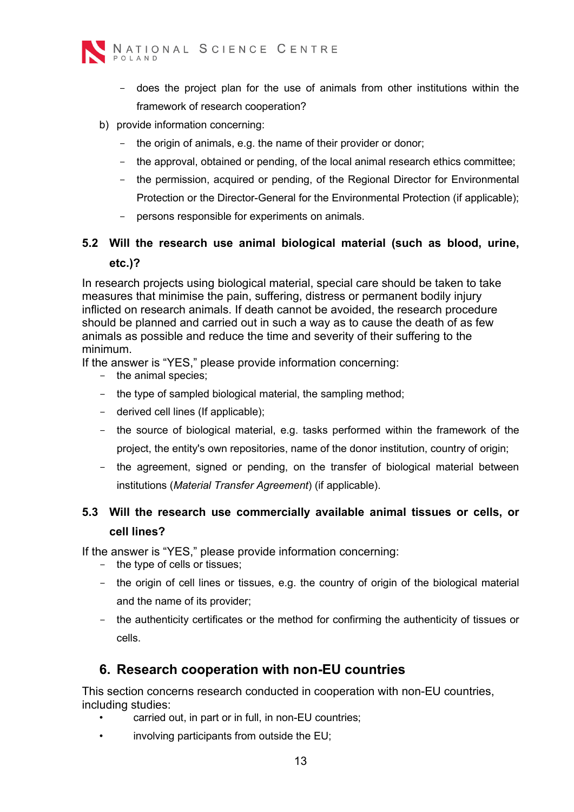

- does the project plan for the use of animals from other institutions within the framework of research cooperation?
- b) provide information concerning:
	- the origin of animals, e.g. the name of their provider or donor;
	- the approval, obtained or pending, of the local animal research ethics committee;
	- the permission, acquired or pending, of the Regional Director for Environmental Protection or the Director-General for the Environmental Protection (if applicable);
	- persons responsible for experiments on animals.

#### **5.2 Will the research use animal biological material (such as blood, urine, etc.)?**

In research projects using biological material, special care should be taken to take measures that minimise the pain, suffering, distress or permanent bodily injury inflicted on research animals. If death cannot be avoided, the research procedure should be planned and carried out in such a way as to cause the death of as few animals as possible and reduce the time and severity of their suffering to the minimum.

If the answer is "YES," please provide information concerning:

- the animal species;
- the type of sampled biological material, the sampling method;
- derived cell lines (If applicable);
- the source of biological material, e.g. tasks performed within the framework of the project, the entity's own repositories, name of the donor institution, country of origin;
- the agreement, signed or pending, on the transfer of biological material between institutions (*Material Transfer Agreement*) (if applicable).

## **5.3 Will the research use commercially available animal tissues or cells, or cell lines?**

If the answer is "YES," please provide information concerning:

- the type of cells or tissues;
- the origin of cell lines or tissues, e.g. the country of origin of the biological material and the name of its provider;
- the authenticity certificates or the method for confirming the authenticity of tissues or cells.

#### <span id="page-12-0"></span>**6. Research cooperation with non-EU countries**

This section concerns research conducted in cooperation with non-EU countries, including studies:

- carried out, in part or in full, in non-EU countries;
- involving participants from outside the EU;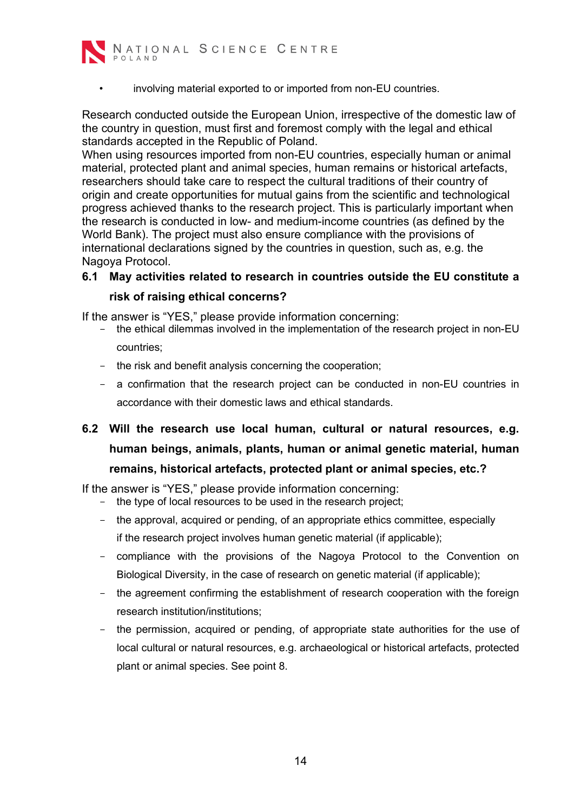

involving material exported to or imported from non-EU countries.

Research conducted outside the European Union, irrespective of the domestic law of the country in question, must first and foremost comply with the legal and ethical standards accepted in the Republic of Poland.

When using resources imported from non-EU countries, especially human or animal material, protected plant and animal species, human remains or historical artefacts, researchers should take care to respect the cultural traditions of their country of origin and create opportunities for mutual gains from the scientific and technological progress achieved thanks to the research project. This is particularly important when the research is conducted in low- and medium-income countries (as defined by the World Bank). The project must also ensure compliance with the provisions of international declarations signed by the countries in question, such as, e.g. the Nagoya Protocol.

## **6.1 May activities related to research in countries outside the EU constitute a**

#### **risk of raising ethical concerns?**

If the answer is "YES," please provide information concerning:

- the ethical dilemmas involved in the implementation of the research project in non-EU countries;
- the risk and benefit analysis concerning the cooperation;
- a confirmation that the research project can be conducted in non-EU countries in accordance with their domestic laws and ethical standards.
- **6.2 Will the research use local human, cultural or natural resources, e.g. human beings, animals, plants, human or animal genetic material, human remains, historical artefacts, protected plant or animal species, etc.?**

If the answer is "YES," please provide information concerning:

- the type of local resources to be used in the research project;
- the approval, acquired or pending, of an appropriate ethics committee, especially if the research project involves human genetic material (if applicable);
- compliance with the provisions of the Nagoya Protocol to the Convention on Biological Diversity, in the case of research on genetic material (if applicable);
- the agreement confirming the establishment of research cooperation with the foreign research institution/institutions;
- the permission, acquired or pending, of appropriate state authorities for the use of local cultural or natural resources, e.g. archaeological or historical artefacts, protected plant or animal species. See point 8.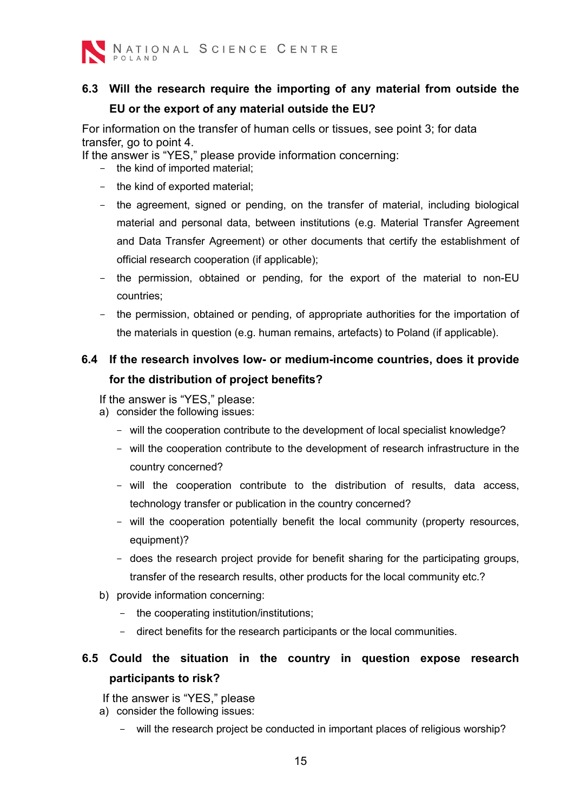

## **6.3 Will the research require the importing of any material from outside the EU or the export of any material outside the EU?**

For information on the transfer of human cells or tissues, see point 3; for data transfer, go to point 4.

If the answer is "YES," please provide information concerning:

- the kind of imported material;
- the kind of exported material;
- the agreement, signed or pending, on the transfer of material, including biological material and personal data, between institutions (e.g. Material Transfer Agreement and Data Transfer Agreement) or other documents that certify the establishment of official research cooperation (if applicable);
- the permission, obtained or pending, for the export of the material to non-EU countries;
- the permission, obtained or pending, of appropriate authorities for the importation of the materials in question (e.g. human remains, artefacts) to Poland (if applicable).

## **6.4 If the research involves low- or medium-income countries, does it provide for the distribution of project benefits?**

If the answer is "YES," please:

- a) consider the following issues:
	- will the cooperation contribute to the development of local specialist knowledge?
	- will the cooperation contribute to the development of research infrastructure in the country concerned?
	- will the cooperation contribute to the distribution of results, data access, technology transfer or publication in the country concerned?
	- will the cooperation potentially benefit the local community (property resources, equipment)?
	- does the research project provide for benefit sharing for the participating groups, transfer of the research results, other products for the local community etc.?
- b) provide information concerning:
	- the cooperating institution/institutions;
	- direct benefits for the research participants or the local communities.

## **6.5 Could the situation in the country in question expose research participants to risk?**

- a) consider the following issues:
	- will the research project be conducted in important places of religious worship?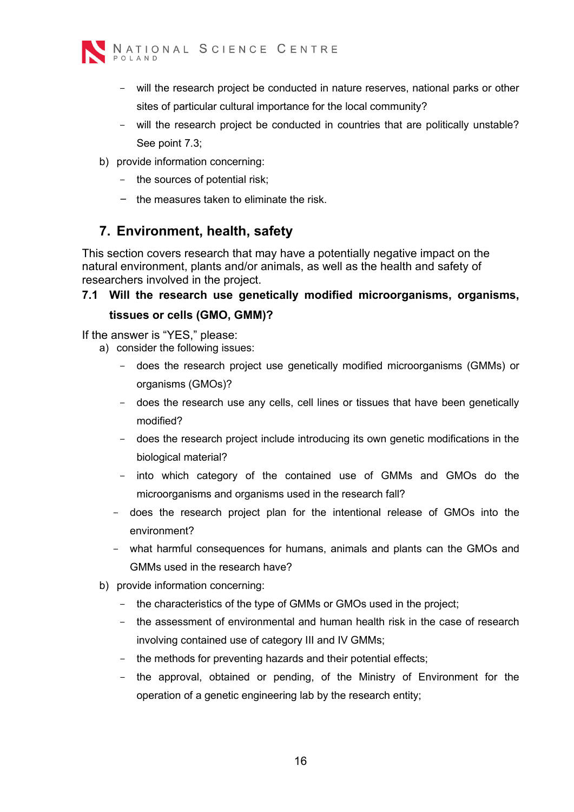

- will the research project be conducted in nature reserves, national parks or other sites of particular cultural importance for the local community?
- will the research project be conducted in countries that are politically unstable? See point 7.3;
- b) provide information concerning:
	- the sources of potential risk;
	- the measures taken to eliminate the risk.

#### <span id="page-15-0"></span>**7. Environment, health, safety**

This section covers research that may have a potentially negative impact on the natural environment, plants and/or animals, as well as the health and safety of researchers involved in the project.

# **7.1 Will the research use genetically modified microorganisms, organisms,**

# **tissues or cells (GMO, GMM)?**

- a) consider the following issues:
	- does the research project use genetically modified microorganisms (GMMs) or organisms (GMOs)?
	- does the research use any cells, cell lines or tissues that have been genetically modified?
	- does the research project include introducing its own genetic modifications in the biological material?
	- into which category of the contained use of GMMs and GMOs do the microorganisms and organisms used in the research fall?
	- does the research project plan for the intentional release of GMOs into the environment?
	- what harmful consequences for humans, animals and plants can the GMOs and GMMs used in the research have?
- b) provide information concerning:
	- the characteristics of the type of GMMs or GMOs used in the project;
	- the assessment of environmental and human health risk in the case of research involving contained use of category III and IV GMMs;
	- the methods for preventing hazards and their potential effects;
	- the approval, obtained or pending, of the Ministry of Environment for the operation of a genetic engineering lab by the research entity;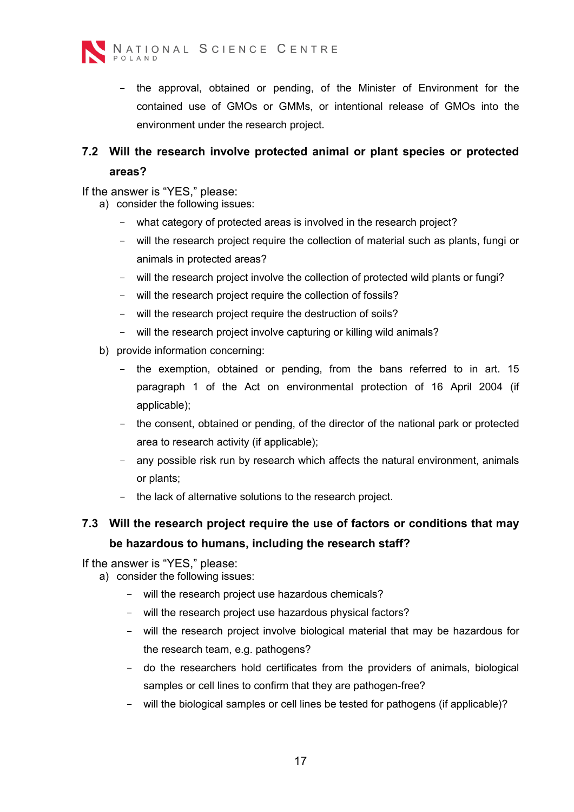

- the approval, obtained or pending, of the Minister of Environment for the contained use of GMOs or GMMs, or intentional release of GMOs into the environment under the research project.

#### **7.2 Will the research involve protected animal or plant species or protected areas?**

If the answer is "YES," please:

- a) consider the following issues:
	- what category of protected areas is involved in the research project?
	- will the research project require the collection of material such as plants, fungi or animals in protected areas?
	- will the research project involve the collection of protected wild plants or fungi?
	- will the research project require the collection of fossils?
	- will the research project require the destruction of soils?
	- will the research project involve capturing or killing wild animals?
- b) provide information concerning:
	- the exemption, obtained or pending, from the bans referred to in art. 15 paragraph 1 of the Act on environmental protection of 16 April 2004 (if applicable);
	- the consent, obtained or pending, of the director of the national park or protected area to research activity (if applicable);
	- any possible risk run by research which affects the natural environment, animals or plants;
	- the lack of alternative solutions to the research project.

## **7.3 Will the research project require the use of factors or conditions that may be hazardous to humans, including the research staff?**

- a) consider the following issues:
	- will the research project use hazardous chemicals?
	- will the research project use hazardous physical factors?
	- will the research project involve biological material that may be hazardous for the research team, e.g. pathogens?
	- do the researchers hold certificates from the providers of animals, biological samples or cell lines to confirm that they are pathogen-free?
	- will the biological samples or cell lines be tested for pathogens (if applicable)?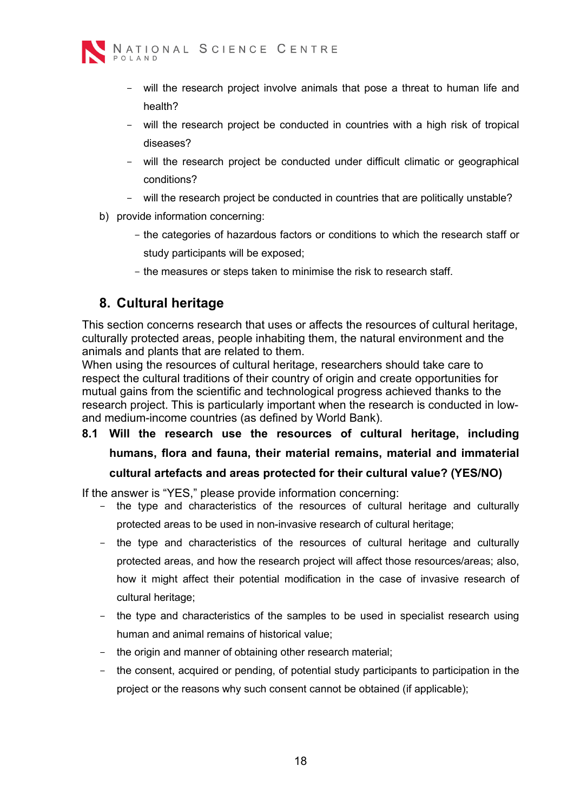

- will the research project involve animals that pose a threat to human life and health?
- will the research project be conducted in countries with a high risk of tropical diseases?
- will the research project be conducted under difficult climatic or geographical conditions?
- will the research project be conducted in countries that are politically unstable?
- b) provide information concerning:
	- the categories of hazardous factors or conditions to which the research staff or study participants will be exposed;
	- the measures or steps taken to minimise the risk to research staff.

## <span id="page-17-0"></span>**8. Cultural heritage**

This section concerns research that uses or affects the resources of cultural heritage, culturally protected areas, people inhabiting them, the natural environment and the animals and plants that are related to them.

When using the resources of cultural heritage, researchers should take care to respect the cultural traditions of their country of origin and create opportunities for mutual gains from the scientific and technological progress achieved thanks to the research project. This is particularly important when the research is conducted in lowand medium-income countries (as defined by World Bank).

**8.1 Will the research use the resources of cultural heritage, including humans, flora and fauna, their material remains, material and immaterial cultural artefacts and areas protected for their cultural value? (YES/NO)**

If the answer is "YES," please provide information concerning:

- the type and characteristics of the resources of cultural heritage and culturally protected areas to be used in non-invasive research of cultural heritage;
- the type and characteristics of the resources of cultural heritage and culturally protected areas, and how the research project will affect those resources/areas; also, how it might affect their potential modification in the case of invasive research of cultural heritage;
- the type and characteristics of the samples to be used in specialist research using human and animal remains of historical value;
- the origin and manner of obtaining other research material:
- the consent, acquired or pending, of potential study participants to participation in the project or the reasons why such consent cannot be obtained (if applicable);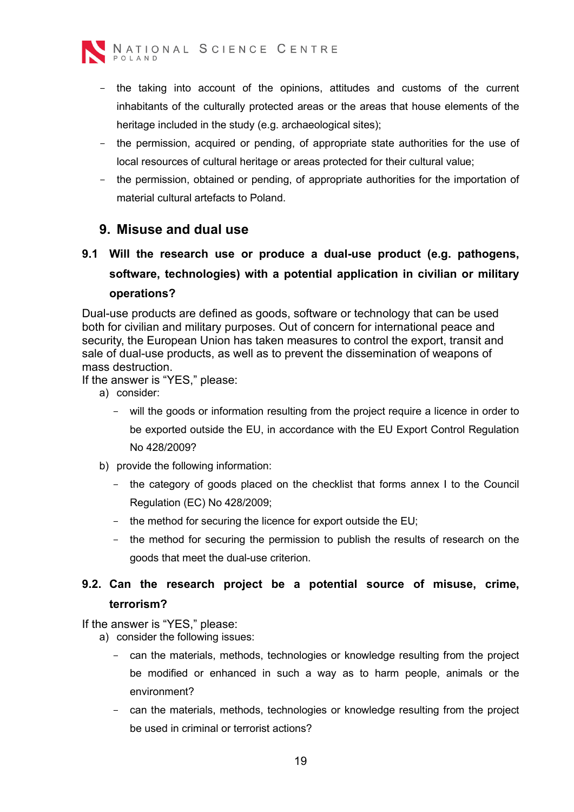

- the taking into account of the opinions, attitudes and customs of the current inhabitants of the culturally protected areas or the areas that house elements of the heritage included in the study (e.g. archaeological sites);
- the permission, acquired or pending, of appropriate state authorities for the use of local resources of cultural heritage or areas protected for their cultural value;
- the permission, obtained or pending, of appropriate authorities for the importation of material cultural artefacts to Poland.

#### <span id="page-18-0"></span>**9. Misuse and dual use**

## **9.1 Will the research use or produce a dual-use product (e.g. pathogens, software, technologies) with a potential application in civilian or military operations?**

Dual-use products are defined as goods, software or technology that can be used both for civilian and military purposes. Out of concern for international peace and security, the European Union has taken measures to control the export, transit and sale of dual-use products, as well as to prevent the dissemination of weapons of mass destruction.

If the answer is "YES," please:

- a) consider:
	- will the goods or information resulting from the project require a licence in order to be exported outside the EU, in accordance with the EU Export Control Regulation No 428/2009?
- b) provide the following information:
	- the category of goods placed on the checklist that forms annex I to the Council Regulation (EC) No 428/2009;
	- the method for securing the licence for export outside the EU;
	- the method for securing the permission to publish the results of research on the goods that meet the dual-use criterion.

#### **9.2. Can the research project be a potential source of misuse, crime, terrorism?**

- a) consider the following issues:
	- can the materials, methods, technologies or knowledge resulting from the project be modified or enhanced in such a way as to harm people, animals or the environment?
	- can the materials, methods, technologies or knowledge resulting from the project be used in criminal or terrorist actions?